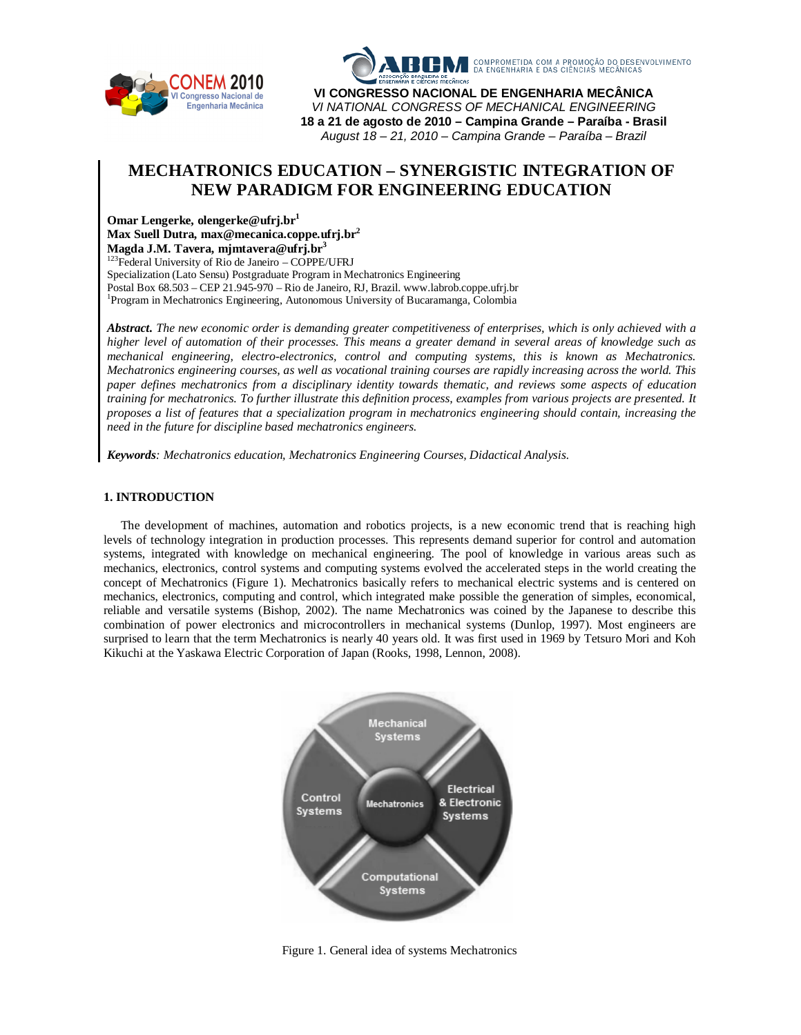



**VI CONGRESSO NACIONAL DE ENGENHARIA MECÂNICA** *VI NATIONAL CONGRESS OF MECHANICAL ENGINEERING* **18 a 21 de agosto de 2010 – Campina Grande – Paraíba - Brasil** *August 18 – 21, 2010 – Campina Grande – Paraíba – Brazil*

# **MECHATRONICS EDUCATION – SYNERGISTIC INTEGRATION OF NEW PARADIGM FOR ENGINEERING EDUCATION**

**Omar Lengerke, olengerke@ufrj.br<sup>1</sup>**

**Max Suell Dutra, max@mecanica.coppe.ufrj.br<sup>2</sup>**

**Magda J.M. Tavera, mjmtavera@ufrj.br<sup>3</sup>**

<sup>123</sup>Federal University of Rio de Janeiro – COPPE/UFRJ

Specialization (Lato Sensu) Postgraduate Program in Mechatronics Engineering Postal Box 68.503 – CEP 21.945-970 – Rio de Janeiro, RJ, Brazil. www.labrob.coppe.ufrj.br

<sup>1</sup>Program in Mechatronics Engineering, Autonomous University of Bucaramanga, Colombia

*Abstract. The new economic order is demanding greater competitiveness of enterprises, which is only achieved with a higher level of automation of their processes. This means a greater demand in several areas of knowledge such as mechanical engineering, electro-electronics, control and computing systems, this is known as Mechatronics. Mechatronics engineering courses, as well as vocational training courses are rapidly increasing across the world. This paper defines mechatronics from a disciplinary identity towards thematic, and reviews some aspects of education training for mechatronics. To further illustrate this definition process, examples from various projects are presented. It proposes a list of features that a specialization program in mechatronics engineering should contain, increasing the need in the future for discipline based mechatronics engineers.*

*Keywords: Mechatronics education, Mechatronics Engineering Courses, Didactical Analysis.*

# **1. INTRODUCTION**

The development of machines, automation and robotics projects, is a new economic trend that is reaching high levels of technology integration in production processes. This represents demand superior for control and automation systems, integrated with knowledge on mechanical engineering. The pool of knowledge in various areas such as mechanics, electronics, control systems and computing systems evolved the accelerated steps in the world creating the concept of Mechatronics (Figure 1). Mechatronics basically refers to mechanical electric systems and is centered on mechanics, electronics, computing and control, which integrated make possible the generation of simples, economical, reliable and versatile systems (Bishop, 2002). The name Mechatronics was coined by the Japanese to describe this combination of power electronics and microcontrollers in mechanical systems (Dunlop, 1997). Most engineers are surprised to learn that the term Mechatronics is nearly 40 years old. It was first used in 1969 by Tetsuro Mori and Koh Kikuchi at the Yaskawa Electric Corporation of Japan (Rooks, 1998, Lennon, 2008).



Figure 1. General idea of systems Mechatronics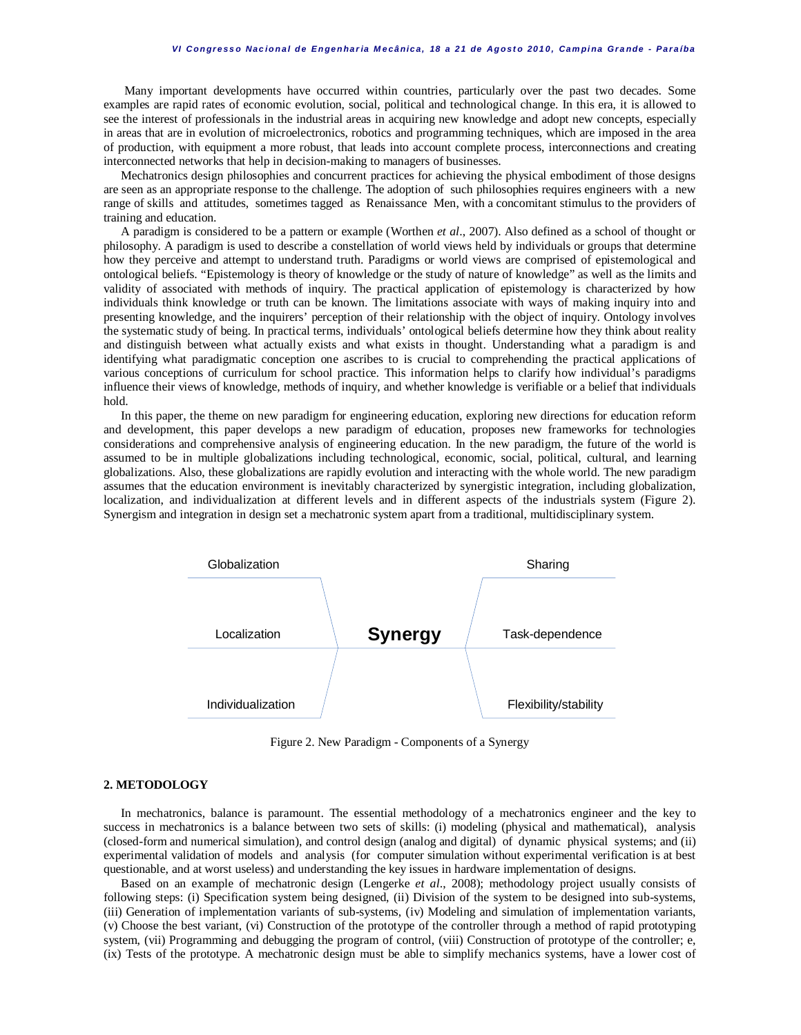Many important developments have occurred within countries, particularly over the past two decades. Some examples are rapid rates of economic evolution, social, political and technological change. In this era, it is allowed to see the interest of professionals in the industrial areas in acquiring new knowledge and adopt new concepts, especially in areas that are in evolution of microelectronics, robotics and programming techniques, which are imposed in the area of production, with equipment a more robust, that leads into account complete process, interconnections and creating interconnected networks that help in decision-making to managers of businesses.

Mechatronics design philosophies and concurrent practices for achieving the physical embodiment of those designs are seen as an appropriate response to the challenge. The adoption of such philosophies requires engineers with a new range of skills and attitudes, sometimes tagged as Renaissance Men, with a concomitant stimulus to the providers of training and education.

A paradigm is considered to be a pattern or example (Worthen *et al*., 2007). Also defined as a school of thought or philosophy. A paradigm is used to describe a constellation of world views held by individuals or groups that determine how they perceive and attempt to understand truth. Paradigms or world views are comprised of epistemological and ontological beliefs. "Epistemology is theory of knowledge or the study of nature of knowledge" as well as the limits and validity of associated with methods of inquiry. The practical application of epistemology is characterized by how individuals think knowledge or truth can be known. The limitations associate with ways of making inquiry into and presenting knowledge, and the inquirers' perception of their relationship with the object of inquiry. Ontology involves the systematic study of being. In practical terms, individuals' ontological beliefs determine how they think about reality and distinguish between what actually exists and what exists in thought. Understanding what a paradigm is and identifying what paradigmatic conception one ascribes to is crucial to comprehending the practical applications of various conceptions of curriculum for school practice. This information helps to clarify how individual's paradigms influence their views of knowledge, methods of inquiry, and whether knowledge is verifiable or a belief that individuals hold.

In this paper, the theme on new paradigm for engineering education, exploring new directions for education reform and development, this paper develops a new paradigm of education, proposes new frameworks for technologies considerations and comprehensive analysis of engineering education. In the new paradigm, the future of the world is assumed to be in multiple globalizations including technological, economic, social, political, cultural, and learning globalizations. Also, these globalizations are rapidly evolution and interacting with the whole world. The new paradigm assumes that the education environment is inevitably characterized by synergistic integration, including globalization, localization, and individualization at different levels and in different aspects of the industrials system (Figure 2). Synergism and integration in design set a mechatronic system apart from a traditional, multidisciplinary system.



Figure 2. New Paradigm - Components of a Synergy

# **2. METODOLOGY**

In mechatronics, balance is paramount. The essential methodology of a mechatronics engineer and the key to success in mechatronics is a balance between two sets of skills: (i) modeling (physical and mathematical), analysis (closed-form and numerical simulation), and control design (analog and digital) of dynamic physical systems; and (ii) experimental validation of models and analysis (for computer simulation without experimental verification is at best questionable, and at worst useless) and understanding the key issues in hardware implementation of designs.

Based on an example of mechatronic design (Lengerke *et al*., 2008); methodology project usually consists of following steps: (i) Specification system being designed, (ii) Division of the system to be designed into sub-systems, (iii) Generation of implementation variants of sub-systems, (iv) Modeling and simulation of implementation variants, (v) Choose the best variant, (vi) Construction of the prototype of the controller through a method of rapid prototyping system, (vii) Programming and debugging the program of control, (viii) Construction of prototype of the controller; e, (ix) Tests of the prototype. A mechatronic design must be able to simplify mechanics systems, have a lower cost of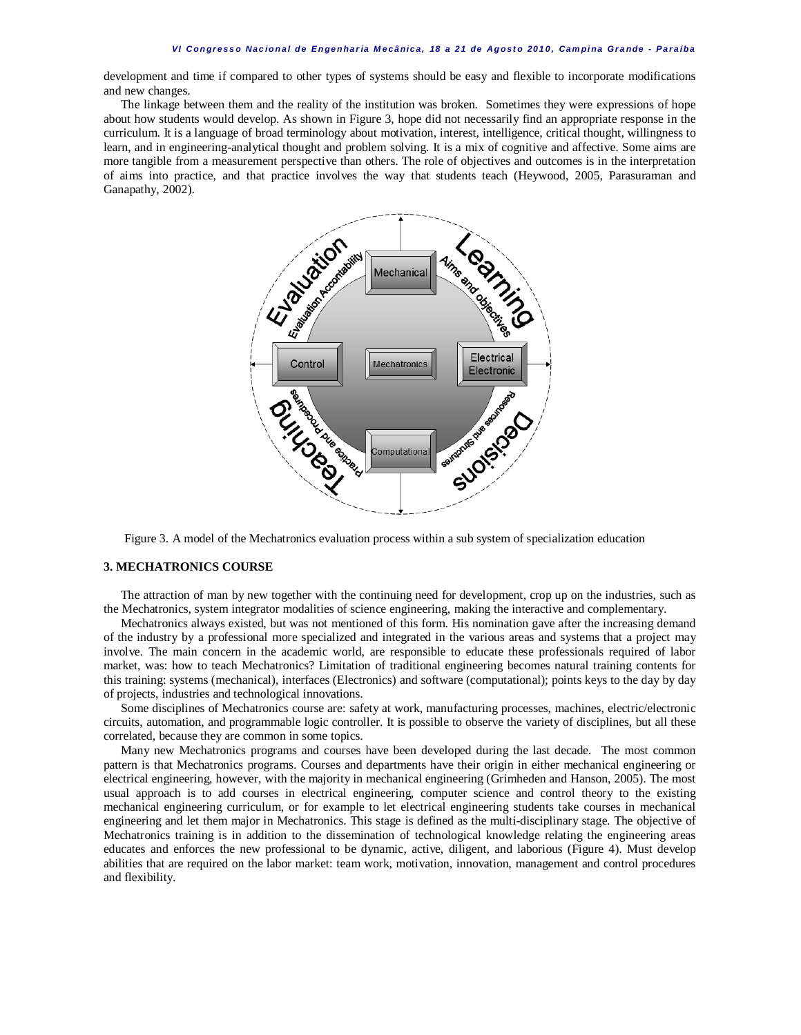development and time if compared to other types of systems should be easy and flexible to incorporate modifications and new changes.

The linkage between them and the reality of the institution was broken. Sometimes they were expressions of hope about how students would develop. As shown in Figure 3, hope did not necessarily find an appropriate response in the curriculum. It is a language of broad terminology about motivation, interest, intelligence, critical thought, willingness to learn, and in engineering-analytical thought and problem solving. It is a mix of cognitive and affective. Some aims are more tangible from a measurement perspective than others. The role of objectives and outcomes is in the interpretation of aims into practice, and that practice involves the way that students teach (Heywood, 2005, Parasuraman and Ganapathy, 2002).



Figure 3. A model of the Mechatronics evaluation process within a sub system of specialization education

#### **3. MECHATRONICS COURSE**

The attraction of man by new together with the continuing need for development, crop up on the industries, such as the Mechatronics, system integrator modalities of science engineering, making the interactive and complementary.

Mechatronics always existed, but was not mentioned of this form. His nomination gave after the increasing demand of the industry by a professional more specialized and integrated in the various areas and systems that a project may involve. The main concern in the academic world, are responsible to educate these professionals required of labor market, was: how to teach Mechatronics? Limitation of traditional engineering becomes natural training contents for this training: systems (mechanical), interfaces (Electronics) and software (computational); points keys to the day by day of projects, industries and technological innovations.

Some disciplines of Mechatronics course are: safety at work, manufacturing processes, machines, electric/electronic circuits, automation, and programmable logic controller. It is possible to observe the variety of disciplines, but all these correlated, because they are common in some topics.

Many new Mechatronics programs and courses have been developed during the last decade. The most common pattern is that Mechatronics programs. Courses and departments have their origin in either mechanical engineering or electrical engineering, however, with the majority in mechanical engineering (Grimheden and Hanson, 2005). The most usual approach is to add courses in electrical engineering, computer science and control theory to the existing mechanical engineering curriculum, or for example to let electrical engineering students take courses in mechanical engineering and let them major in Mechatronics. This stage is defined as the multi-disciplinary stage. The objective of Mechatronics training is in addition to the dissemination of technological knowledge relating the engineering areas educates and enforces the new professional to be dynamic, active, diligent, and laborious (Figure 4). Must develop abilities that are required on the labor market: team work, motivation, innovation, management and control procedures and flexibility.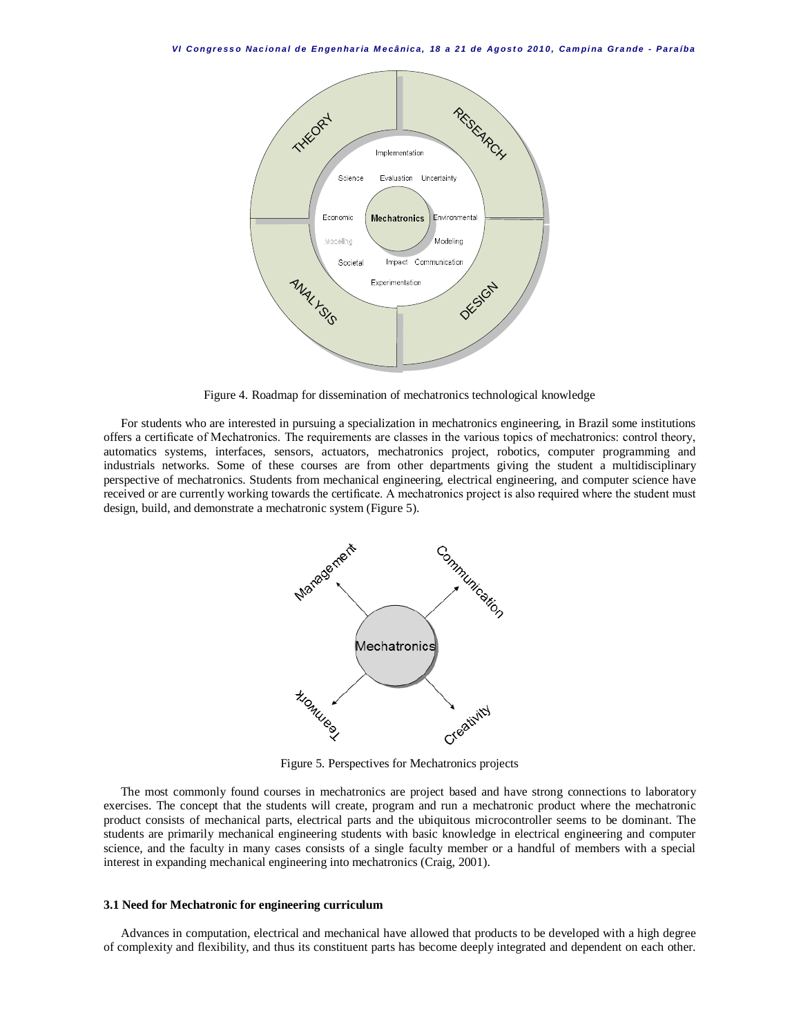

Figure 4. Roadmap for dissemination of mechatronics technological knowledge

For students who are interested in pursuing a specialization in mechatronics engineering, in Brazil some institutions offers a certificate of Mechatronics. The requirements are classes in the various topics of mechatronics: control theory, automatics systems, interfaces, sensors, actuators, mechatronics project, robotics, computer programming and industrials networks. Some of these courses are from other departments giving the student a multidisciplinary perspective of mechatronics. Students from mechanical engineering, electrical engineering, and computer science have received or are currently working towards the certificate. A mechatronics project is also required where the student must design, build, and demonstrate a mechatronic system (Figure 5).



Figure 5. Perspectives for Mechatronics projects

The most commonly found courses in mechatronics are project based and have strong connections to laboratory exercises. The concept that the students will create, program and run a mechatronic product where the mechatronic product consists of mechanical parts, electrical parts and the ubiquitous microcontroller seems to be dominant. The students are primarily mechanical engineering students with basic knowledge in electrical engineering and computer science, and the faculty in many cases consists of a single faculty member or a handful of members with a special interest in expanding mechanical engineering into mechatronics (Craig, 2001).

#### **3.1 Need for Mechatronic for engineering curriculum**

Advances in computation, electrical and mechanical have allowed that products to be developed with a high degree of complexity and flexibility, and thus its constituent parts has become deeply integrated and dependent on each other.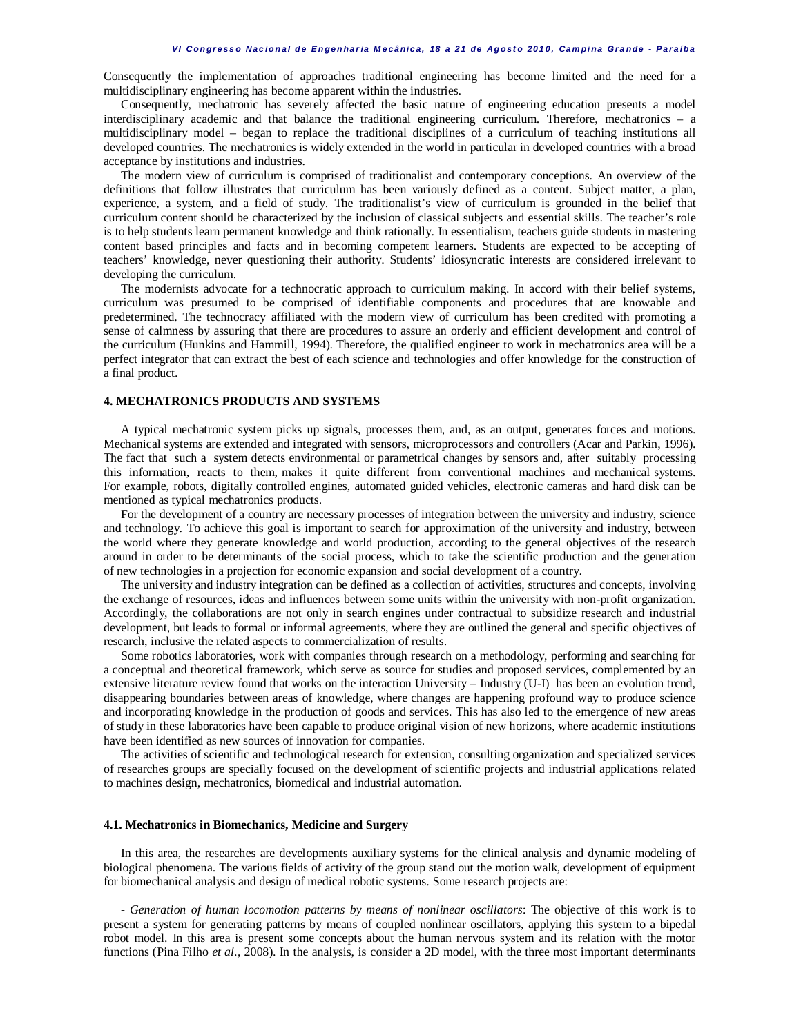Consequently the implementation of approaches traditional engineering has become limited and the need for a multidisciplinary engineering has become apparent within the industries.

Consequently, mechatronic has severely affected the basic nature of engineering education presents a model interdisciplinary academic and that balance the traditional engineering curriculum. Therefore, mechatronics – a multidisciplinary model – began to replace the traditional disciplines of a curriculum of teaching institutions all developed countries. The mechatronics is widely extended in the world in particular in developed countries with a broad acceptance by institutions and industries.

The modern view of curriculum is comprised of traditionalist and contemporary conceptions. An overview of the definitions that follow illustrates that curriculum has been variously defined as a content. Subject matter, a plan, experience, a system, and a field of study. The traditionalist's view of curriculum is grounded in the belief that curriculum content should be characterized by the inclusion of classical subjects and essential skills. The teacher's role is to help students learn permanent knowledge and think rationally. In essentialism, teachers guide students in mastering content based principles and facts and in becoming competent learners. Students are expected to be accepting of teachers' knowledge, never questioning their authority. Students' idiosyncratic interests are considered irrelevant to developing the curriculum.

The modernists advocate for a technocratic approach to curriculum making. In accord with their belief systems, curriculum was presumed to be comprised of identifiable components and procedures that are knowable and predetermined. The technocracy affiliated with the modern view of curriculum has been credited with promoting a sense of calmness by assuring that there are procedures to assure an orderly and efficient development and control of the curriculum (Hunkins and Hammill, 1994). Therefore, the qualified engineer to work in mechatronics area will be a perfect integrator that can extract the best of each science and technologies and offer knowledge for the construction of a final product.

## **4. MECHATRONICS PRODUCTS AND SYSTEMS**

A typical mechatronic system picks up signals, processes them, and, as an output, generates forces and motions. Mechanical systems are extended and integrated with sensors, microprocessors and controllers (Acar and Parkin, 1996). The fact that such a system detects environmental or parametrical changes by sensors and, after suitably processing this information, reacts to them, makes it quite different from conventional machines and mechanical systems. For example, robots, digitally controlled engines, automated guided vehicles, electronic cameras and hard disk can be mentioned as typical mechatronics products.

For the development of a country are necessary processes of integration between the university and industry, science and technology. To achieve this goal is important to search for approximation of the university and industry, between the world where they generate knowledge and world production, according to the general objectives of the research around in order to be determinants of the social process, which to take the scientific production and the generation of new technologies in a projection for economic expansion and social development of a country.

The university and industry integration can be defined as a collection of activities, structures and concepts, involving the exchange of resources, ideas and influences between some units within the university with non-profit organization. Accordingly, the collaborations are not only in search engines under contractual to subsidize research and industrial development, but leads to formal or informal agreements, where they are outlined the general and specific objectives of research, inclusive the related aspects to commercialization of results.

Some robotics laboratories, work with companies through research on a methodology, performing and searching for a conceptual and theoretical framework, which serve as source for studies and proposed services, complemented by an extensive literature review found that works on the interaction University – Industry (U-I) has been an evolution trend, disappearing boundaries between areas of knowledge, where changes are happening profound way to produce science and incorporating knowledge in the production of goods and services. This has also led to the emergence of new areas of study in these laboratories have been capable to produce original vision of new horizons, where academic institutions have been identified as new sources of innovation for companies.

The activities of scientific and technological research for extension, consulting organization and specialized services of researches groups are specially focused on the development of scientific projects and industrial applications related to machines design, mechatronics, biomedical and industrial automation.

#### **4.1. Mechatronics in Biomechanics, Medicine and Surgery**

In this area, the researches are developments auxiliary systems for the clinical analysis and dynamic modeling of biological phenomena. The various fields of activity of the group stand out the motion walk, development of equipment for biomechanical analysis and design of medical robotic systems. Some research projects are:

- *Generation of human locomotion patterns by means of nonlinear oscillators*: The objective of this work is to present a system for generating patterns by means of coupled nonlinear oscillators, applying this system to a bipedal robot model. In this area is present some concepts about the human nervous system and its relation with the motor functions (Pina Filho *et al*., 2008). In the analysis, is consider a 2D model, with the three most important determinants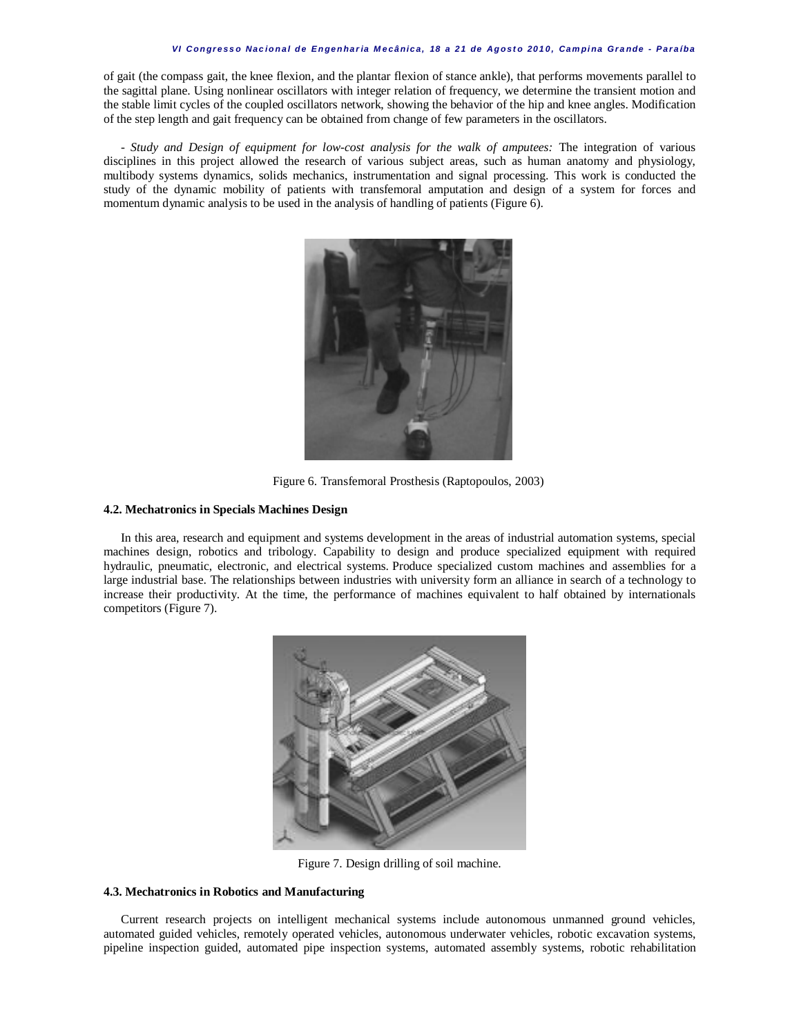#### *VI C on gr e s s o Na c io n a l d e E n ge n ha r ia M e c â nic a , 18 a 2 1 de Ag os t o 20 1 0 , Ca m pi na G r a nde - P a r a íba*

of gait (the compass gait, the knee flexion, and the plantar flexion of stance ankle), that performs movements parallel to the sagittal plane. Using nonlinear oscillators with integer relation of frequency, we determine the transient motion and the stable limit cycles of the coupled oscillators network, showing the behavior of the hip and knee angles. Modification of the step length and gait frequency can be obtained from change of few parameters in the oscillators.

- *Study and Design of equipment for low-cost analysis for the walk of amputees:* The integration of various disciplines in this project allowed the research of various subject areas, such as human anatomy and physiology, multibody systems dynamics, solids mechanics, instrumentation and signal processing. This work is conducted the study of the dynamic mobility of patients with transfemoral amputation and design of a system for forces and momentum dynamic analysis to be used in the analysis of handling of patients (Figure 6).



Figure 6. Transfemoral Prosthesis (Raptopoulos, 2003)

#### **4.2. Mechatronics in Specials Machines Design**

In this area, research and equipment and systems development in the areas of industrial automation systems, special machines design, robotics and tribology. Capability to design and produce specialized equipment with required hydraulic, pneumatic, electronic, and electrical systems. Produce specialized custom machines and assemblies for a large industrial base. The relationships between industries with university form an alliance in search of a technology to increase their productivity. At the time, the performance of machines equivalent to half obtained by internationals competitors (Figure 7).



Figure 7. Design drilling of soil machine.

#### **4.3. Mechatronics in Robotics and Manufacturing**

Current research projects on intelligent mechanical systems include autonomous unmanned ground vehicles, automated guided vehicles, remotely operated vehicles, autonomous underwater vehicles, robotic excavation systems, pipeline inspection guided, automated pipe inspection systems, automated assembly systems, robotic rehabilitation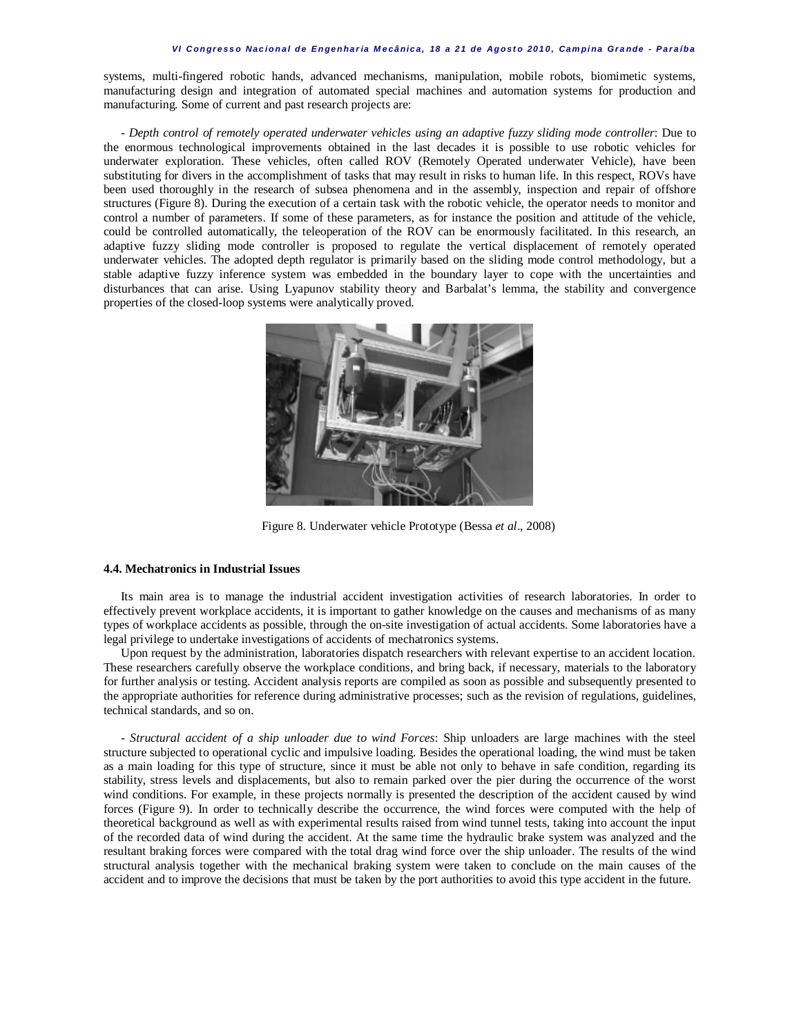systems, multi-fingered robotic hands, advanced mechanisms, manipulation, mobile robots, biomimetic systems, manufacturing design and integration of automated special machines and automation systems for production and manufacturing. Some of current and past research projects are:

- *Depth control of remotely operated underwater vehicles using an adaptive fuzzy sliding mode controller*: Due to the enormous technological improvements obtained in the last decades it is possible to use robotic vehicles for underwater exploration. These vehicles, often called ROV (Remotely Operated underwater Vehicle), have been substituting for divers in the accomplishment of tasks that may result in risks to human life. In this respect, ROVs have been used thoroughly in the research of subsea phenomena and in the assembly, inspection and repair of offshore structures (Figure 8). During the execution of a certain task with the robotic vehicle, the operator needs to monitor and control a number of parameters. If some of these parameters, as for instance the position and attitude of the vehicle, could be controlled automatically, the teleoperation of the ROV can be enormously facilitated. In this research, an adaptive fuzzy sliding mode controller is proposed to regulate the vertical displacement of remotely operated underwater vehicles. The adopted depth regulator is primarily based on the sliding mode control methodology, but a stable adaptive fuzzy inference system was embedded in the boundary layer to cope with the uncertainties and disturbances that can arise. Using Lyapunov stability theory and Barbalat's lemma, the stability and convergence properties of the closed-loop systems were analytically proved.



Figure 8. Underwater vehicle Prototype (Bessa *et al*., 2008)

## **4.4. Mechatronics in Industrial Issues**

Its main area is to manage the industrial accident investigation activities of research laboratories. In order to effectively prevent workplace accidents, it is important to gather knowledge on the causes and mechanisms of as many types of workplace accidents as possible, through the on-site investigation of actual accidents. Some laboratories have a legal privilege to undertake investigations of accidents of mechatronics systems.

Upon request by the administration, laboratories dispatch researchers with relevant expertise to an accident location. These researchers carefully observe the workplace conditions, and bring back, if necessary, materials to the laboratory for further analysis or testing. Accident analysis reports are compiled as soon as possible and subsequently presented to the appropriate authorities for reference during administrative processes; such as the revision of regulations, guidelines, technical standards, and so on.

- *Structural accident of a ship unloader due to wind Forces*: Ship unloaders are large machines with the steel structure subjected to operational cyclic and impulsive loading. Besides the operational loading, the wind must be taken as a main loading for this type of structure, since it must be able not only to behave in safe condition, regarding its stability, stress levels and displacements, but also to remain parked over the pier during the occurrence of the worst wind conditions. For example, in these projects normally is presented the description of the accident caused by wind forces (Figure 9). In order to technically describe the occurrence, the wind forces were computed with the help of theoretical background as well as with experimental results raised from wind tunnel tests, taking into account the input of the recorded data of wind during the accident. At the same time the hydraulic brake system was analyzed and the resultant braking forces were compared with the total drag wind force over the ship unloader. The results of the wind structural analysis together with the mechanical braking system were taken to conclude on the main causes of the accident and to improve the decisions that must be taken by the port authorities to avoid this type accident in the future.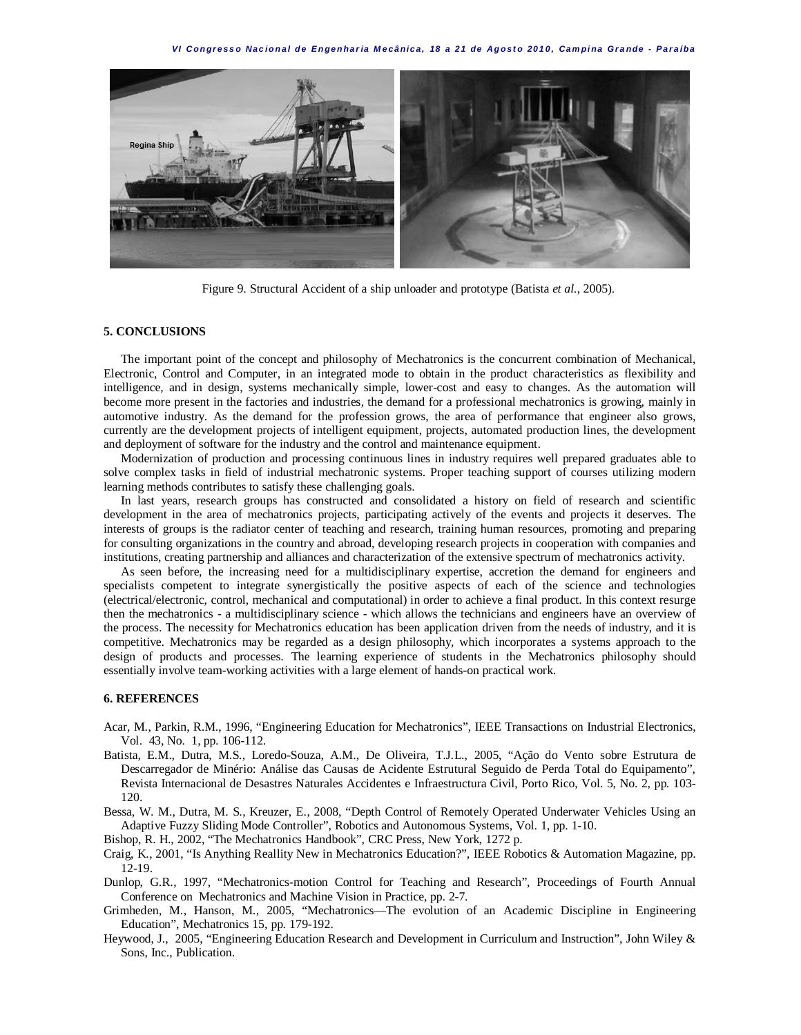*VI C on gr e s s o Na c io n a l d e E n ge n ha r ia M e c â nic a , 18 a 2 1 de Ag os t o 20 1 0 , Ca m pi na G r a nde - P a r a íba*



Figure 9. Structural Accident of a ship unloader and prototype (Batista *et al*., 2005).

### **5. CONCLUSIONS**

The important point of the concept and philosophy of Mechatronics is the concurrent combination of Mechanical, Electronic, Control and Computer, in an integrated mode to obtain in the product characteristics as flexibility and intelligence, and in design, systems mechanically simple, lower-cost and easy to changes. As the automation will become more present in the factories and industries, the demand for a professional mechatronics is growing, mainly in automotive industry. As the demand for the profession grows, the area of performance that engineer also grows, currently are the development projects of intelligent equipment, projects, automated production lines, the development and deployment of software for the industry and the control and maintenance equipment.

Modernization of production and processing continuous lines in industry requires well prepared graduates able to solve complex tasks in field of industrial mechatronic systems. Proper teaching support of courses utilizing modern learning methods contributes to satisfy these challenging goals.

In last years, research groups has constructed and consolidated a history on field of research and scientific development in the area of mechatronics projects, participating actively of the events and projects it deserves. The interests of groups is the radiator center of teaching and research, training human resources, promoting and preparing for consulting organizations in the country and abroad, developing research projects in cooperation with companies and institutions, creating partnership and alliances and characterization of the extensive spectrum of mechatronics activity.

As seen before, the increasing need for a multidisciplinary expertise, accretion the demand for engineers and specialists competent to integrate synergistically the positive aspects of each of the science and technologies (electrical/electronic, control, mechanical and computational) in order to achieve a final product. In this context resurge then the mechatronics - a multidisciplinary science - which allows the technicians and engineers have an overview of the process. The necessity for Mechatronics education has been application driven from the needs of industry, and it is competitive. Mechatronics may be regarded as a design philosophy, which incorporates a systems approach to the design of products and processes. The learning experience of students in the Mechatronics philosophy should essentially involve team-working activities with a large element of hands-on practical work.

#### **6. REFERENCES**

- Acar, M., Parkin, R.M., 1996, "Engineering Education for Mechatronics", IEEE Transactions on Industrial Electronics, Vol. 43, No. 1, pp. 106-112.
- Batista, E.M., Dutra, M.S., Loredo-Souza, A.M., De Oliveira, T.J.L., 2005, "Ação do Vento sobre Estrutura de Descarregador de Minério: Análise das Causas de Acidente Estrutural Seguido de Perda Total do Equipamento", Revista Internacional de Desastres Naturales Accidentes e Infraestructura Civil, Porto Rico, Vol. 5, No. 2, pp. 103- 120.
- Bessa, W. M., Dutra, M. S., Kreuzer, E., 2008, "Depth Control of Remotely Operated Underwater Vehicles Using an Adaptive Fuzzy Sliding Mode Controller", Robotics and Autonomous Systems, Vol. 1, pp. 1-10.
- Bishop, R. H., 2002, "The Mechatronics Handbook", CRC Press, New York, 1272 p.
- Craig, K., 2001, "Is Anything Reallity New in Mechatronics Education?", IEEE Robotics & Automation Magazine, pp. 12-19.
- Dunlop, G.R., 1997, "Mechatronics-motion Control for Teaching and Research", Proceedings of Fourth Annual Conference on Mechatronics and Machine Vision in Practice, pp. 2-7.
- Grimheden, M., Hanson, M., 2005, "Mechatronics—The evolution of an Academic Discipline in Engineering Education", Mechatronics 15, pp. 179-192.
- Heywood, J., 2005, "Engineering Education Research and Development in Curriculum and Instruction", John Wiley & Sons, Inc., Publication.